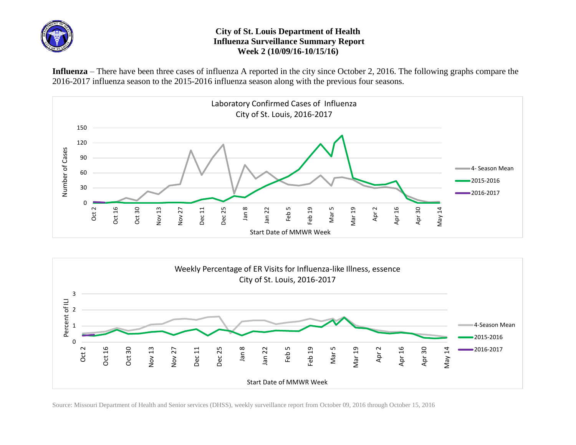

## **City of St. Louis Department of Health Influenza Surveillance Summary Report Week 2 (10/09/16-10/15/16)**

**Influenza** – There have been three cases of influenza A reported in the city since October 2, 2016. The following graphs compare the 2016-2017 influenza season to the 2015-2016 influenza season along with the previous four seasons.





Source: Missouri Department of Health and Senior services (DHSS), weekly surveillance report from October 09, 2016 through October 15, 2016